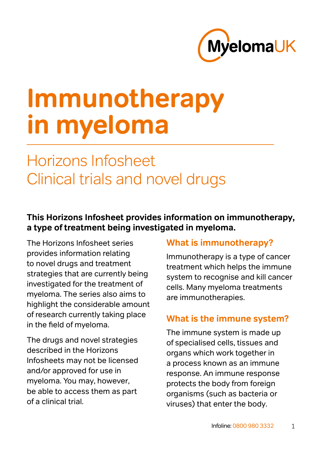

# **Immunotherapy in myeloma**

# Horizons Infosheet Clinical trials and novel drugs

#### **This Horizons Infosheet provides information on immunotherapy, a type of treatment being investigated in myeloma.**

The Horizons Infosheet series provides information relating to novel drugs and treatment strategies that are currently being investigated for the treatment of myeloma. The series also aims to highlight the considerable amount of research currently taking place in the field of myeloma.

The drugs and novel strategies described in the Horizons Infosheets may not be licensed and/or approved for use in myeloma. You may, however, be able to access them as part of a clinical trial.

#### **What is immunotherapy?**

Immunotherapy is a type of cancer treatment which helps the immune system to recognise and kill cancer cells. Many myeloma treatments are immunotherapies.

#### **What is the immune system?**

The immune system is made up of specialised cells, tissues and organs which work together in a process known as an immune response. An immune response protects the body from foreign organisms (such as bacteria or viruses) that enter the body.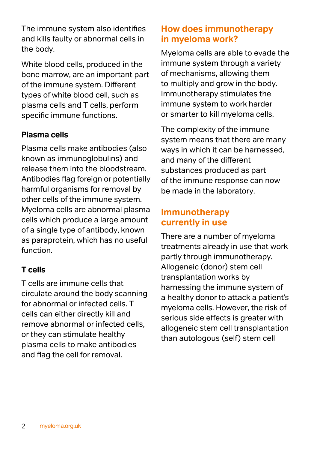The immune system also identifies and kills faulty or abnormal cells in the body.

White blood cells, produced in the bone marrow, are an important part of the immune system. Different types of white blood cell, such as plasma cells and T cells, perform specific immune functions.

#### **Plasma cells**

Plasma cells make antibodies (also known as immunoglobulins) and release them into the bloodstream. Antibodies flag foreign or potentially harmful organisms for removal by other cells of the immune system. Myeloma cells are abnormal plasma cells which produce a large amount of a single type of antibody, known as paraprotein, which has no useful function.

#### **T cells**

T cells are immune cells that circulate around the body scanning for abnormal or infected cells. T cells can either directly kill and remove abnormal or infected cells, or they can stimulate healthy plasma cells to make antibodies and flag the cell for removal.

#### **How does immunotherapy in myeloma work?**

Myeloma cells are able to evade the immune system through a variety of mechanisms, allowing them to multiply and grow in the body. Immunotherapy stimulates the immune system to work harder or smarter to kill myeloma cells.

The complexity of the immune system means that there are many ways in which it can be harnessed, and many of the different substances produced as part of the immune response can now be made in the laboratory.

#### **Immunotherapy currently in use**

There are a number of myeloma treatments already in use that work partly through immunotherapy. Allogeneic (donor) stem cell transplantation works by harnessing the immune system of a healthy donor to attack a patient's myeloma cells. However, the risk of serious side effects is greater with allogeneic stem cell transplantation than autologous (self) stem cell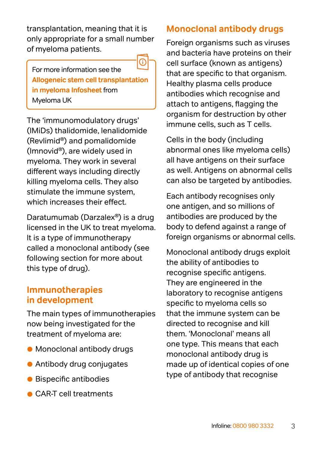transplantation, meaning that it is only appropriate for a small number of myeloma patients.

For more information see the **[Allogeneic stem cell transplantation](https://www.myeloma.org.uk/documents/allogeneic-stem-cell-transplantation-in-myeloma-infosheet/)  [in myeloma Infosheet](https://www.myeloma.org.uk/documents/allogeneic-stem-cell-transplantation-in-myeloma-infosheet/)** from Myeloma UK

The 'immunomodulatory drugs' (IMiDs) thalidomide, lenalidomide (Revlimid®) and pomalidomide (Imnovid®), are widely used in myeloma. They work in several different ways including directly killing myeloma cells. They also stimulate the immune system, which increases their effect.

Daratumumab (Darzalex®) is a drug licensed in the UK to treat myeloma. It is a type of immunotherapy called a monoclonal antibody (see following section for more about this type of drug).

#### **Immunotherapies in development**

The main types of immunotherapies now being investigated for the treatment of myeloma are:

- Monoclonal antibody drugs
- Antibody drug conjugates
- Bispecific antibodies
- CAR-T cell treatments

#### **Monoclonal antibody drugs**

Foreign organisms such as viruses and bacteria have proteins on their cell surface (known as antigens) that are specific to that organism. Healthy plasma cells produce antibodies which recognise and attach to antigens, flagging the organism for destruction by other immune cells, such as T cells.

Cells in the body (including abnormal ones like myeloma cells) all have antigens on their surface as well. Antigens on abnormal cells can also be targeted by antibodies.

Each antibody recognises only one antigen, and so millions of antibodies are produced by the body to defend against a range of foreign organisms or abnormal cells.

Monoclonal antibody drugs exploit the ability of antibodies to recognise specific antigens. They are engineered in the laboratory to recognise antigens specific to myeloma cells so that the immune system can be directed to recognise and kill them. 'Monoclonal' means all one type. This means that each monoclonal antibody drug is made up of identical copies of one type of antibody that recognise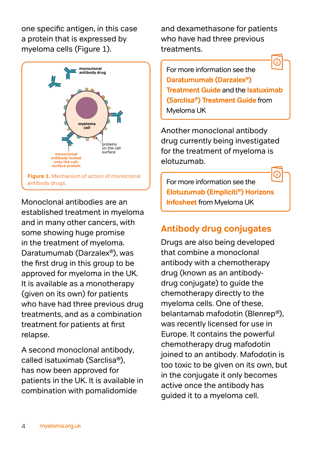one specific antigen, in this case a protein that is expressed by myeloma cells (Figure 1).



Monoclonal antibodies are an established treatment in myeloma and in many other cancers, with some showing huge promise in the treatment of myeloma. Daratumumab (Darzalex®), was the first drug in this group to be approved for myeloma in the UK. It is available as a monotherapy (given on its own) for patients who have had three previous drug treatments, and as a combination treatment for patients at first relapse.

A second monoclonal antibody, called isatuximab (Sarclisa®), has now been approved for patients in the UK. It is available in combination with pomalidomide

and dexamethasone for patients who have had three previous treatments.

**monoclonal antibody drug** For more information see the **[Daratumumab \(Darzalex®\)](https://www.myeloma.org.uk/documents/daratumumab-darzalex-treatment-guide/)  [Treatment Guide](https://www.myeloma.org.uk/documents/daratumumab-darzalex-treatment-guide/)** and the **[Isatuximab](https://www.myeloma.org.uk/documents/isatuximab-treatment-guide/)  [\(Sarclisa®\) Treatment Guide](https://www.myeloma.org.uk/documents/isatuximab-treatment-guide/)** from Myeloma UK

for the treatment of myeloma is Another monoclonal antibody drug currently being investigated elotuzumab.

For more information see the **[Elotuzumab \(Empliciti®\) Horizons](https://www.myeloma.org.uk/documents/elotuzumab-horizons-infosheet/)  [Infosheet](https://www.myeloma.org.uk/documents/elotuzumab-horizons-infosheet/)** from Myeloma UK

## **Antibody drug conjugates**

Drugs are also being developed that combine a monoclonal antibody with a chemotherapy drug (known as an antibodydrug conjugate) to guide the chemotherapy directly to the myeloma cells. One of these, belantamab mafodotin (Blenrep®), was recently licensed for use in Europe. It contains the powerful chemotherapy drug mafodotin joined to an antibody. Mafodotin is too toxic to be given on its own, but in the conjugate it only becomes active once the antibody has guided it to a myeloma cell.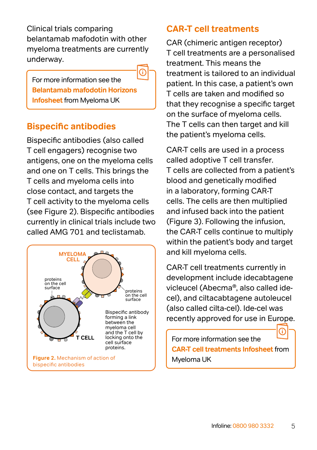Clinical trials comparing belantamab mafodotin with other myeloma treatments are currently underway.

For more information see the **[Belantamab mafodotin Horizons](https://www.myeloma.org.uk/documents/belantamab-mafodotin-horizons-infosheet/)  [Infosheet](https://www.myeloma.org.uk/documents/belantamab-mafodotin-horizons-infosheet/)** from Myeloma UK

⋒

#### **Bispecific antibodies**

Bispecific antibodies (also called T cell engagers) recognise two antigens, one on the myeloma cells and one on T cells. This brings the T cells and myeloma cells into close contact, and targets the T cell activity to the myeloma cells (see Figure 2). Bispecific antibodies currently in clinical trials include two called AMG 701 and teclistamab.



#### **CAR-T cell treatments**

CAR (chimeric antigen receptor) T cell treatments are a personalised treatment. This means the treatment is tailored to an individual patient. In this case, a patient's own T cells are taken and modified so that they recognise a specific target on the surface of myeloma cells. The T cells can then target and kill the patient's myeloma cells.

CAR-T cells are used in a process called adoptive T cell transfer. T cells are collected from a patient's blood and genetically modified in a laboratory, forming CAR-T cells. The cells are then multiplied and infused back into the patient (Figure 3). Following the infusion, the CAR-T cells continue to multiply within the patient's body and target and kill myeloma cells.

CAR-T cell treatments currently in development include idecabtagene vicleucel (Abecma®, also called idecel), and ciltacabtagene autoleucel (also called cilta-cel). Ide-cel was recently approved for use in Europe.

For more information see the **[CAR-T cell treatments Infosheet](https://www.myeloma.org.uk/documents/car-t-cell-treatments-horizons-infosheet/)** from Myeloma UK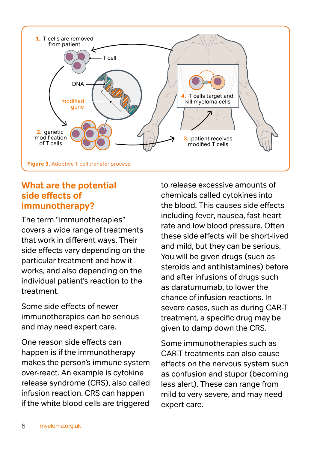

#### **What are the potential side effects of immunotherapy?**

The term "immunotherapies" covers a wide range of treatments that work in different ways. Their side effects vary depending on the particular treatment and how it works, and also depending on the individual patient's reaction to the treatment.

Some side effects of newer immunotherapies can be serious and may need expert care.

One reason side effects can happen is if the immunotherapy makes the person's immune system over-react. An example is cytokine release syndrome (CRS), also called infusion reaction. CRS can happen if the white blood cells are triggered to release excessive amounts of chemicals called cytokines into the blood. This causes side effects including fever, nausea, fast heart rate and low blood pressure. Often these side effects will be short-lived and mild, but they can be serious. You will be given drugs (such as steroids and antihistamines) before and after infusions of drugs such as daratumumab, to lower the chance of infusion reactions. In severe cases, such as during CAR-T treatment, a specific drug may be given to damp down the CRS.

Some immunotherapies such as CAR-T treatments can also cause effects on the nervous system such as confusion and stupor (becoming less alert). These can range from mild to very severe, and may need expert care.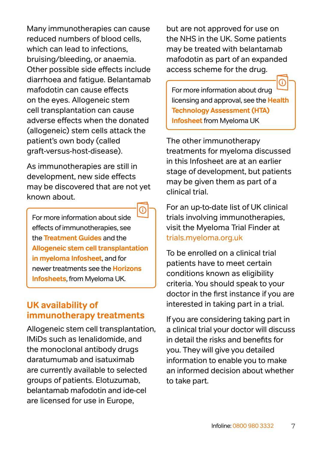Many immunotherapies can cause reduced numbers of blood cells, which can lead to infections. bruising/bleeding, or anaemia. Other possible side effects include diarrhoea and fatigue. Belantamab mafodotin can cause effects on the eyes. Allogeneic stem cell transplantation can cause adverse effects when the donated (allogeneic) stem cells attack the patient's own body (called graft-versus-host-disease).

As immunotherapies are still in development, new side effects may be discovered that are not yet known about.

For more information about side effects of immunotherapies, see the **[Treatment Guides](https://www.myeloma.org.uk/publications/)** and the **[Allogeneic stem cell transplantation](https://www.myeloma.org.uk/documents/allogeneic-stem-cell-transplantation-in-myeloma-infosheet/)  [in myeloma Infosheet](https://www.myeloma.org.uk/documents/allogeneic-stem-cell-transplantation-in-myeloma-infosheet/)**, and for newer treatments see the **[Horizons](https://www.myeloma.org.uk/publications/)  [Infosheets](https://www.myeloma.org.uk/publications/)**, from Myeloma UK.

#### **UK availability of immunotherapy treatments**

Allogeneic stem cell transplantation, IMiDs such as lenalidomide, and the monoclonal antibody drugs daratumumab and isatuximab are currently available to selected groups of patients. Elotuzumab, belantamab mafodotin and ide-cel are licensed for use in Europe,

but are not approved for use on the NHS in the UK. Some patients may be treated with belantamab mafodotin as part of an expanded access scheme for the drug.

For more information about drug licensing and approval, see the **[Health](https://www.myeloma.org.uk/documents/health-technology-assessment/)  [Technology Assessment \(HTA\)](https://www.myeloma.org.uk/documents/health-technology-assessment/)  [Infosheet](https://www.myeloma.org.uk/documents/health-technology-assessment/)** from Myeloma UK

The other immunotherapy treatments for myeloma discussed in this Infosheet are at an earlier stage of development, but patients may be given them as part of a clinical trial.

For an up-to-date list of UK clinical trials involving immunotherapies, visit the Myeloma Trial Finder at [trials.myeloma.org.uk](https://trials.myeloma.org.uk/)

To be enrolled on a clinical trial patients have to meet certain conditions known as eligibility criteria. You should speak to your doctor in the first instance if you are interested in taking part in a trial.

If you are considering taking part in a clinical trial your doctor will discuss in detail the risks and benefits for you. They will give you detailed information to enable you to make an informed decision about whether to take part.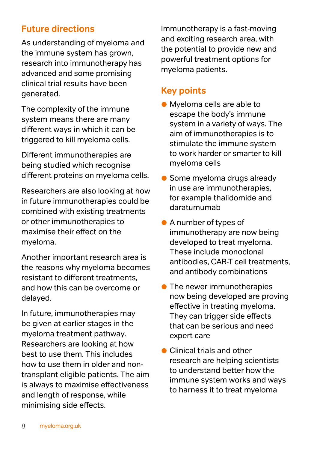#### **Future directions**

As understanding of myeloma and the immune system has grown, research into immunotherapy has advanced and some promising clinical trial results have been generated.

The complexity of the immune system means there are many different ways in which it can be triggered to kill myeloma cells.

Different immunotherapies are being studied which recognise different proteins on myeloma cells.

Researchers are also looking at how in future immunotherapies could be combined with existing treatments or other immunotherapies to maximise their effect on the myeloma.

Another important research area is the reasons why myeloma becomes resistant to different treatments, and how this can be overcome or delayed.

In future, immunotherapies may be given at earlier stages in the myeloma treatment pathway. Researchers are looking at how best to use them. This includes how to use them in older and nontransplant eligible patients. The aim is always to maximise effectiveness and length of response, while minimising side effects.

Immunotherapy is a fast-moving and exciting research area, with the potential to provide new and powerful treatment options for myeloma patients.

#### **Key points**

- Myeloma cells are able to escape the body's immune system in a variety of ways. The aim of immunotherapies is to stimulate the immune system to work harder or smarter to kill myeloma cells
- Some myeloma drugs already in use are immunotherapies, for example thalidomide and daratumumab
- A number of types of immunotherapy are now being developed to treat myeloma. These include monoclonal antibodies, CAR-T cell treatments, and antibody combinations
- **The newer immunotherapies** now being developed are proving effective in treating myeloma. They can trigger side effects that can be serious and need expert care
- Clinical trials and other research are helping scientists to understand better how the immune system works and ways to harness it to treat myeloma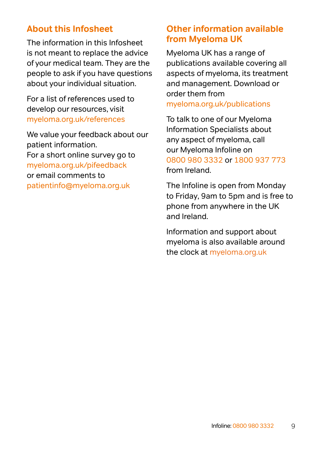#### **About this Infosheet**

The information in this Infosheet is not meant to replace the advice of your medical team. They are the people to ask if you have questions about your individual situation.

For a list of references used to develop our resources, visit [myeloma.org.uk/references](http://myeloma.org.uk/references) 

We value your feedback about our patient information. For a short online survey go to [myeloma.org.uk/pifeedback](http://myeloma.org.uk/pifeedback)  or email comments to [patientinfo@myeloma.org.uk](mailto:patientinfo%40myeloma.org.uk?subject=)

#### **Other information available from Myeloma UK**

Myeloma UK has a range of publications available covering all aspects of myeloma, its treatment and management. Download or order them from [myeloma.org.uk/publications](http://myeloma.org.uk/publications)

To talk to one of our Myeloma Information Specialists about any aspect of myeloma, call our Myeloma Infoline on [0800 980 3332](tel:08009803332) or [1800 937 773](tel:1800937773) from Ireland.

The Infoline is open from Monday to Friday, 9am to 5pm and is free to phone from anywhere in the UK and Ireland.

Information and support about myeloma is also available around the clock at [myeloma.org.uk](https://www.myeloma.org.uk/)